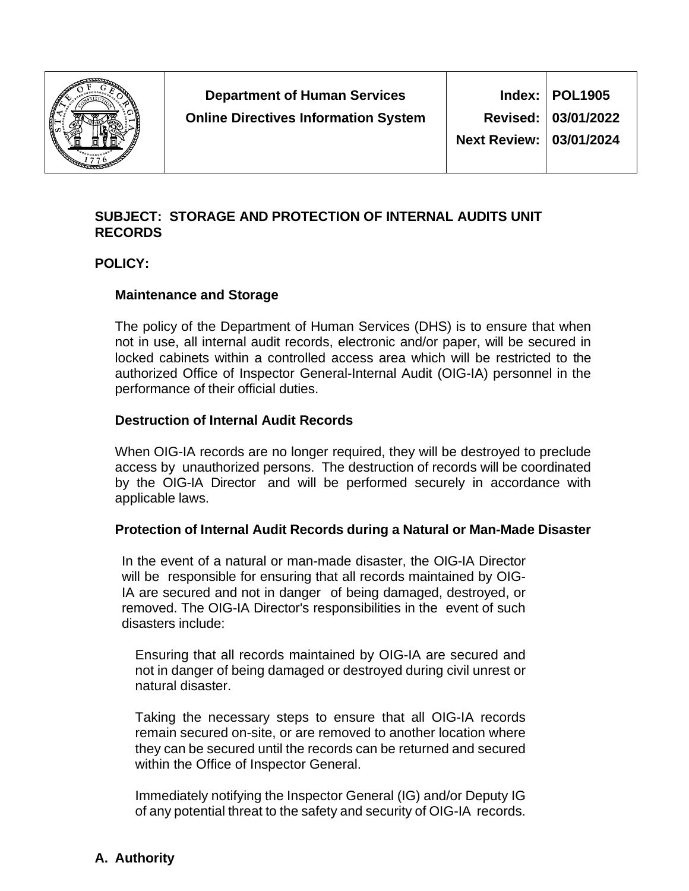

## **SUBJECT: STORAGE AND PROTECTION OF INTERNAL AUDITS UNIT RECORDS**

### **POLICY:**

### **Maintenance and Storage**

The policy of the Department of Human Services (DHS) is to ensure that when not in use, all internal audit records, electronic and/or paper, will be secured in locked cabinets within a controlled access area which will be restricted to the authorized Office of Inspector General-Internal Audit (OIG-IA) personnel in the performance of their official duties.

### **Destruction of Internal Audit Records**

When OIG-IA records are no longer required, they will be destroyed to preclude access by unauthorized persons. The destruction of records will be coordinated by the OIG-IA Director and will be performed securely in accordance with applicable laws.

### **Protection of Internal Audit Records during a Natural or Man-Made Disaster**

In the event of a natural or man-made disaster, the OIG-IA Director will be responsible for ensuring that all records maintained by OIG-IA are secured and not in danger of being damaged, destroyed, or removed. The OIG-IA Director's responsibilities in the event of such disasters include:

Ensuring that all records maintained by OIG-IA are secured and not in danger of being damaged or destroyed during civil unrest or natural disaster.

Taking the necessary steps to ensure that all OIG-IA records remain secured on-site, or are removed to another location where they can be secured until the records can be returned and secured within the Office of Inspector General.

Immediately notifying the Inspector General (IG) and/or Deputy IG of any potential threat to the safety and security of OIG-IA records.

# **A. Authority**